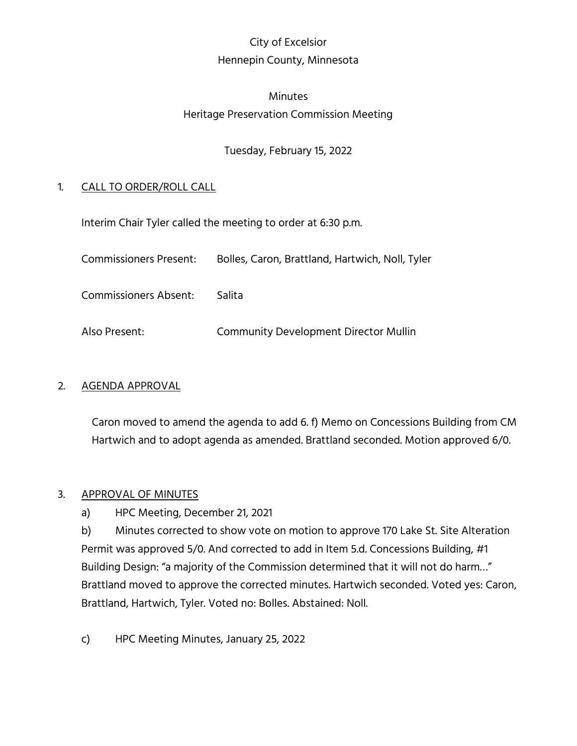# City of Excelsior Hennepin County, Minnesota

## Minutes Heritage Preservation Commission Meeting

## Tuesday, February 15, 2022

## 1. CALL TO ORDER/ROLL CALL

Interim Chair Tyler called the meeting to order at 6:30 p.m.

| <b>Commissioners Present:</b> | Bolles, Caron, Brattland, Hartwich, Noll, Tyler |
|-------------------------------|-------------------------------------------------|
| <b>Commissioners Absent:</b>  | Salita                                          |
| Also Present:                 | <b>Community Development Director Mullin</b>    |

### 2. AGENDA APPROVAL

Caron moved to amend the agenda to add 6. f) Memo on Concessions Building from CM Hartwich and to adopt agenda as amended. Brattland seconded. Motion approved 6/0.

### 3. APPROVAL OF MINUTES

a) HPC Meeting, December 21, 2021

b) Minutes corrected to show vote on motion to approve 170 Lake St. Site Alteration Permit was approved 5/0. And corrected to add in Item 5.d. Concessions Building, #1 Building Design: "a majority of the Commission determined that it will not do harm…" Brattland moved to approve the corrected minutes. Hartwich seconded. Voted yes: Caron, Brattland, Hartwich, Tyler. Voted no: Bolles. Abstained: Noll.

c) HPC Meeting Minutes, January 25, 2022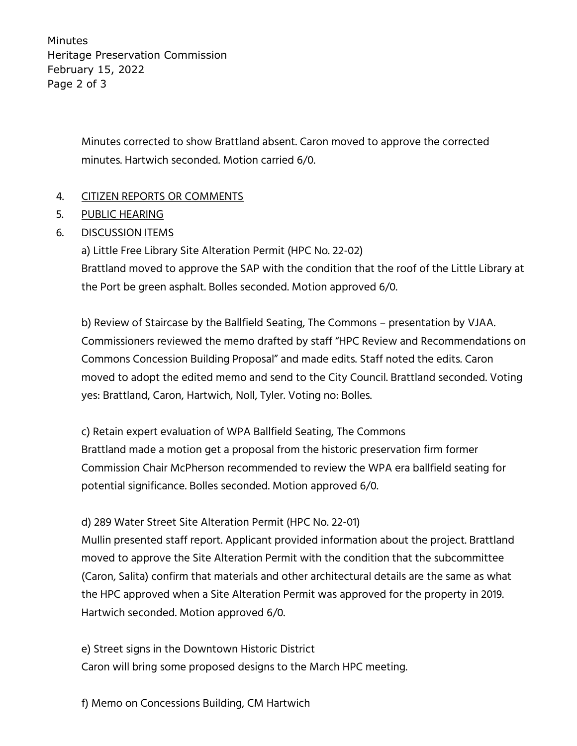Minutes Heritage Preservation Commission February 15, 2022 Page 2 of 3

> Minutes corrected to show Brattland absent. Caron moved to approve the corrected minutes. Hartwich seconded. Motion carried 6/0.

## 4. CITIZEN REPORTS OR COMMENTS

- 5. PUBLIC HEARING
- 6. DISCUSSION ITEMS

a) Little Free Library Site Alteration Permit (HPC No. 22-02) Brattland moved to approve the SAP with the condition that the roof of the Little Library at the Port be green asphalt. Bolles seconded. Motion approved 6/0.

b) Review of Staircase by the Ballfield Seating, The Commons – presentation by VJAA. Commissioners reviewed the memo drafted by staff "HPC Review and Recommendations on Commons Concession Building Proposal" and made edits. Staff noted the edits. Caron moved to adopt the edited memo and send to the City Council. Brattland seconded. Voting yes: Brattland, Caron, Hartwich, Noll, Tyler. Voting no: Bolles.

c) Retain expert evaluation of WPA Ballfield Seating, The Commons Brattland made a motion get a proposal from the historic preservation firm former Commission Chair McPherson recommended to review the WPA era ballfield seating for potential significance. Bolles seconded. Motion approved 6/0.

### d) 289 Water Street Site Alteration Permit (HPC No. 22-01)

Mullin presented staff report. Applicant provided information about the project. Brattland moved to approve the Site Alteration Permit with the condition that the subcommittee (Caron, Salita) confirm that materials and other architectural details are the same as what the HPC approved when a Site Alteration Permit was approved for the property in 2019. Hartwich seconded. Motion approved 6/0.

e) Street signs in the Downtown Historic District Caron will bring some proposed designs to the March HPC meeting.

f) Memo on Concessions Building, CM Hartwich